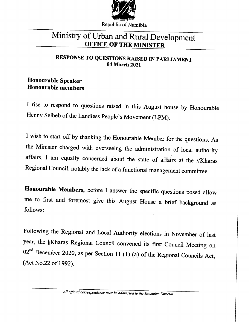

# Ministry of Urban and Rural Development OFFICE OF THE MINISTER

## RESPONSE TO QUESTIONS RAISED IN PARLIAMENT 04 March 2021

## Honourable Speaker Honourable members

I rise to respond to questions raised in this August house by Honourable Henny Seibeb of the Landless People's Movement (LPM).

I wish to start off by thanking the Honourable Member for the questions. As the Minister charged with overseeing the administration of local authority affairs, I am equally concerned about the state of affairs at the //Kharas Regional Council, notably the lack of a functional management committee.

Honourable Members, before I answer the specific questions posed allow me to first and foremost give this August House a brief background as follows:

Following the Regional and Local Authority elections in November of last year, the ||Kharas Regional Council convened its first Council Meeting on  $02<sup>nd</sup>$  December 2020, as per Section 11 (1) (a) of the Regional Councils Act (Act No.22 of 1992).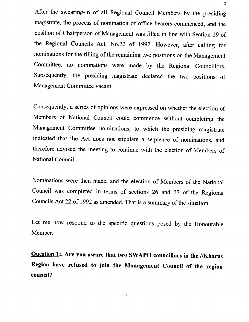After the swearing-in of all Regional Council Members by the presiding magistrate, the process of nomination of office bearers commenced, and the position of Chairperson of Management was filled in line with Section 19 of the Regional Councils Act, No.22 of 1992. However, after calling for nominations for the filling of the remaining two positions on the Management Committee, no nominations were made by the Regional Councillors. Subsequently, the presiding magistrate declared the two positions of Management Committee vacant.

Consequently, a series of opinions were expressed on whether the election of Members of National Council could commence without completing the Management Committee nominations, to which the presiding magistrate indicated that the Act does not stipulate a sequence of nominations, and therefore advised the meeting to continue with the election of Members of National Council.

Nominations were then made, and the election of Members of the National Council was completed in terms of sections 26 and 27 of the Regional Councils Act 22 of 1992 as amended. That is a summary of the situation.

Let me now respond to the specific questions posed by the Honourable Member.

**Question 1:. Are you aware that two SWAPO councillors in the IlKharas Region have refused to join the Management Council of the region council?**

2

2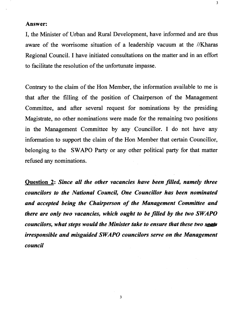#### Answer:

I, the Minister of Urban and Rural Development, have informed and are thus aware of the worrisome situation of a leadership vacuum at the //Kharas Regional Council. I have initiated consultations on the matter and in an effort to facilitate the resolution of the unfortunate impasse.

Contrary to the claim of the Hon Member, the information available to me is that after the filling of the position of Chairperson of the Management Committee, and after several request for nominations by the presiding Magistrate, no other nominations were made for the remaining two positions in the Management Committee by any. Councillor. I do not have any information to support the claim of the Hon Member that certain Councillor, belonging to the SWAPO Party or any other political party for that matter refused any nominations.

Question 2: *Since all the other vacancies have been filled, namely three councilors to the National Council, One Councillor has been nominated and accepted being the Chairperson of the Management Committee and there are only two vacancies, which ought to be filled by the two SWAPO councilors, what steps would the Minister take to ensure that these two seats irresponsible and misguided SWAPO councilors serve on the Management council*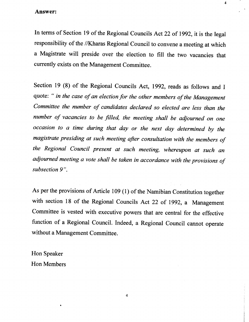#### Answer:

In terms of Section 19 of the Regional Councils Act 22 of 1992, it is the legal responsibility of the //Kharas Regional Council to convene a meeting at which a Magistrate will preside over the election to fill the two vacancies that currently exists on the Management Committee.

4

Section 19 (8) of the Regional Councils Act, 1992, reads as follows and I quote: " *in the case of an election for the other members of the Management Committee the number of candidates declared so elected are less than the number of vacancies to be filled, the meeting shall be adjourned on one occasion to a time during that day or the next day determined by the magistrate presiding at such meeting after consultation with the members of the Regional Council present at such meeting, whereupon at such an adjourned meeting a vote shall be taken in accordance with the provisions of subsection* 9".

As per the provisions of Article 109 (1) of the Namibian Constitution together with section 18 of the Regional Councils Act 22 of 1992, a Management Committee is vested with executive powers that are central for the effective function of a Regional Council. Indeed, a Regional Council cannot operate without a Management Committee.

Hon Speaker Hon Members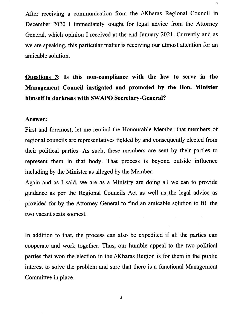After receiving a communication from the //Kharas Regional Council in December 2020 I immediately sought for legal advice from the Attorney General, which opinion I received at the end January 2021. Currently and as we are speaking, this particular matter is receiving our utmost attention for an amicable solution.

5

Questions 3: Is this non-compliance with the law to serve in the Management Council instigated and promoted by the Hon. Minister himself in darkness with SWAPO Secretary-General?

### Answer:

First and foremost, let me remind the Honourable Member that members of regional councils are representatives fielded by and consequently elected from their political parties. As such, these members are sent by their parties to represent them in that body. That process is beyond outside influence including by the Minister as alleged by the Member.

Again and as I said, we are as a Ministry are doing all we can to provide guidance as per the Regional Councils Act as well as the legal advice as provided for by the Attorney General to find an amicable solution to fill the two vacant seats soonest.

In addition to that, the process can also be expedited if all the parties can cooperate and work together. Thus, our humble appeal to the two political parties that won the election in the //Kharas Region is for them in the public interest to solve the problem and sure that there is a functional Management Committee in place.

5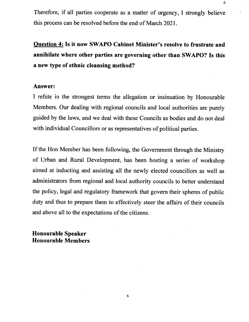Therefore, if all parties cooperate as a matter of urgency, I strongly believe this process can be resolved before the end of March 2021.

6

# **Question 4: Is it now SWAPO Cabinet Minister's resolve to frustrate and annihilate where other parties are governing other than SWAPO? Is this a new type of ethnic cleansing method?**

### **Answer:**

I refute in the strongest terms the allegation or insinuation by Honourable Members. Our dealing with regional councils and local authorities are purely guided by the laws, and we deal with these Councils as bodies and do not deal with individual Councillors or as representatives of political parties.

If the Hon Member has been following, the Government through the Ministry of Urban and Rural Development, has been hosting a series of workshop aimed at inducting and assisting all the newly elected councillors as well as administrators from regional and local authority councils to better understand the policy, legal and regulatory framework that govern their spheres of public duty and thus to prepare them to effectively steer the affairs of their councils and above all to the expectations of the citizens.

6

**Honourable Speaker Honourable Members**